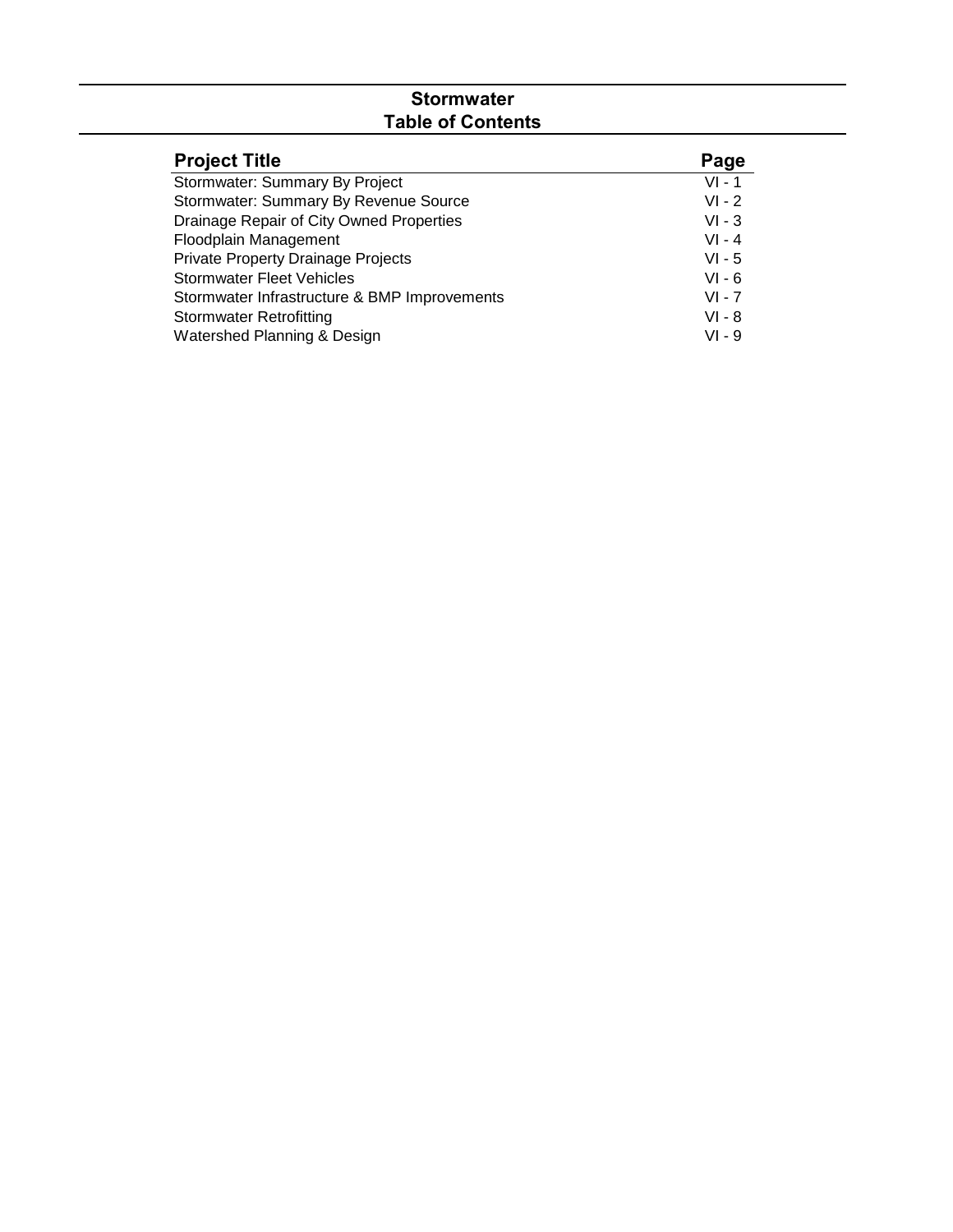# **Stormwater Table of Contents**

| <b>Project Title</b>                         | Page     |
|----------------------------------------------|----------|
| Stormwater: Summary By Project               | $VI - 1$ |
| Stormwater: Summary By Revenue Source        | $VI - 2$ |
| Drainage Repair of City Owned Properties     | $VI - 3$ |
| Floodplain Management                        | $VI - 4$ |
| Private Property Drainage Projects           | $VI - 5$ |
| <b>Stormwater Fleet Vehicles</b>             | $VI - 6$ |
| Stormwater Infrastructure & BMP Improvements | $VI - 7$ |
| <b>Stormwater Retrofitting</b>               | VI - 8   |
| Watershed Planning & Design                  | VI - 9   |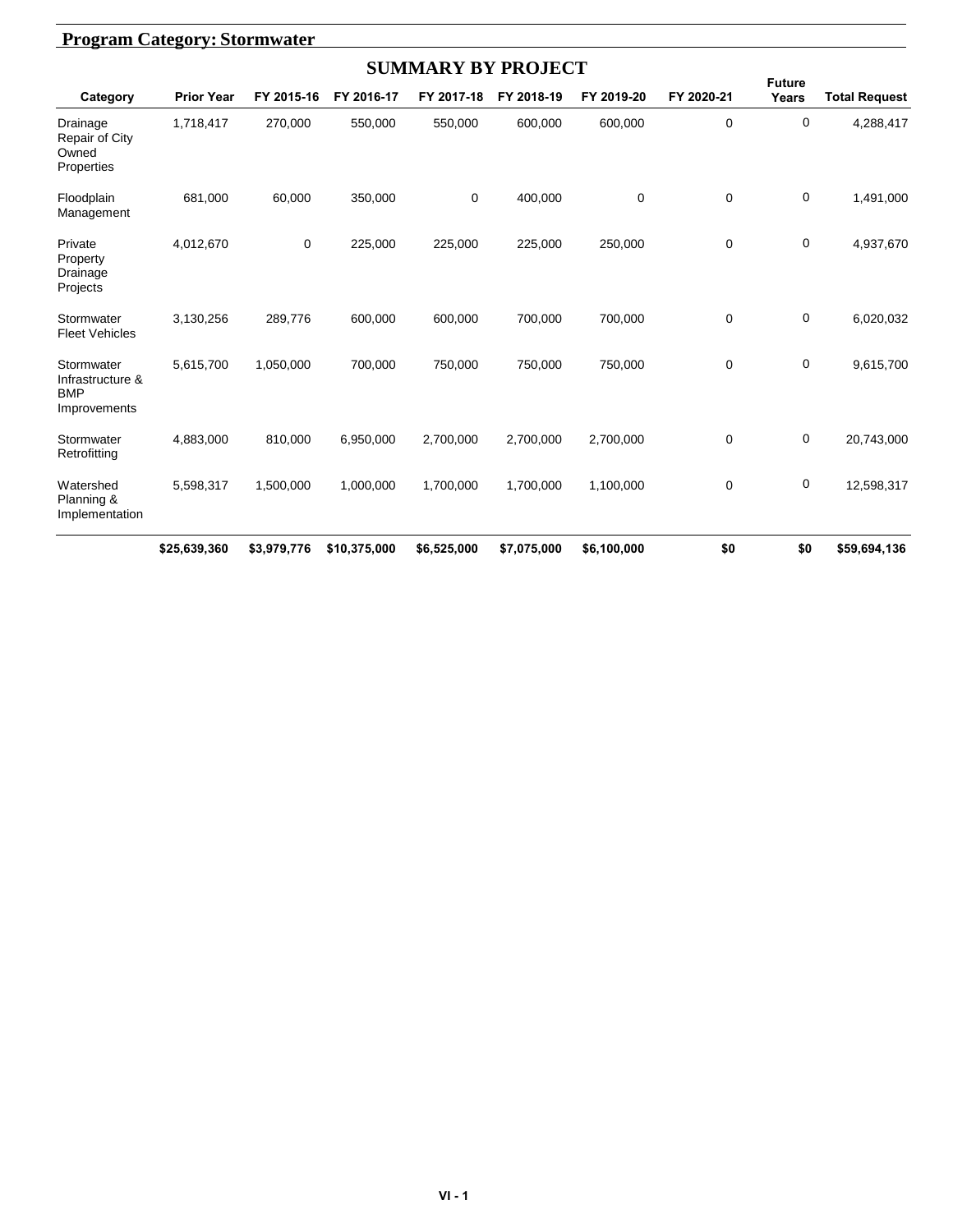| <b>Program Category: Stormwater</b>                          |                   |             |              |                           |             |             |             |                        |                      |
|--------------------------------------------------------------|-------------------|-------------|--------------|---------------------------|-------------|-------------|-------------|------------------------|----------------------|
|                                                              |                   |             |              | <b>SUMMARY BY PROJECT</b> |             |             |             |                        |                      |
| Category                                                     | <b>Prior Year</b> | FY 2015-16  | FY 2016-17   | FY 2017-18                | FY 2018-19  | FY 2019-20  | FY 2020-21  | <b>Future</b><br>Years | <b>Total Request</b> |
| Drainage<br><b>Repair of City</b><br>Owned<br>Properties     | 1,718,417         | 270,000     | 550,000      | 550,000                   | 600,000     | 600,000     | 0           | 0                      | 4,288,417            |
| Floodplain<br>Management                                     | 681,000           | 60.000      | 350.000      | 0                         | 400,000     | 0           | $\mathbf 0$ | 0                      | 1,491,000            |
| Private<br>Property<br>Drainage<br>Projects                  | 4,012,670         | 0           | 225,000      | 225,000                   | 225,000     | 250,000     | $\mathbf 0$ | 0                      | 4,937,670            |
| Stormwater<br><b>Fleet Vehicles</b>                          | 3,130,256         | 289,776     | 600,000      | 600,000                   | 700,000     | 700,000     | $\Omega$    | 0                      | 6,020,032            |
| Stormwater<br>Infrastructure &<br><b>BMP</b><br>Improvements | 5,615,700         | 1,050,000   | 700,000      | 750,000                   | 750,000     | 750,000     | 0           | 0                      | 9,615,700            |
| Stormwater<br>Retrofitting                                   | 4,883,000         | 810,000     | 6,950,000    | 2,700,000                 | 2,700,000   | 2,700,000   | $\mathbf 0$ | 0                      | 20,743,000           |
| Watershed<br>Planning &<br>Implementation                    | 5,598,317         | 1,500,000   | 1,000,000    | 1,700,000                 | 1,700,000   | 1,100,000   | 0           | $\mathbf 0$            | 12,598,317           |
|                                                              | \$25,639,360      | \$3,979,776 | \$10,375,000 | \$6,525,000               | \$7,075,000 | \$6,100,000 | \$0         | \$0                    | \$59,694,136         |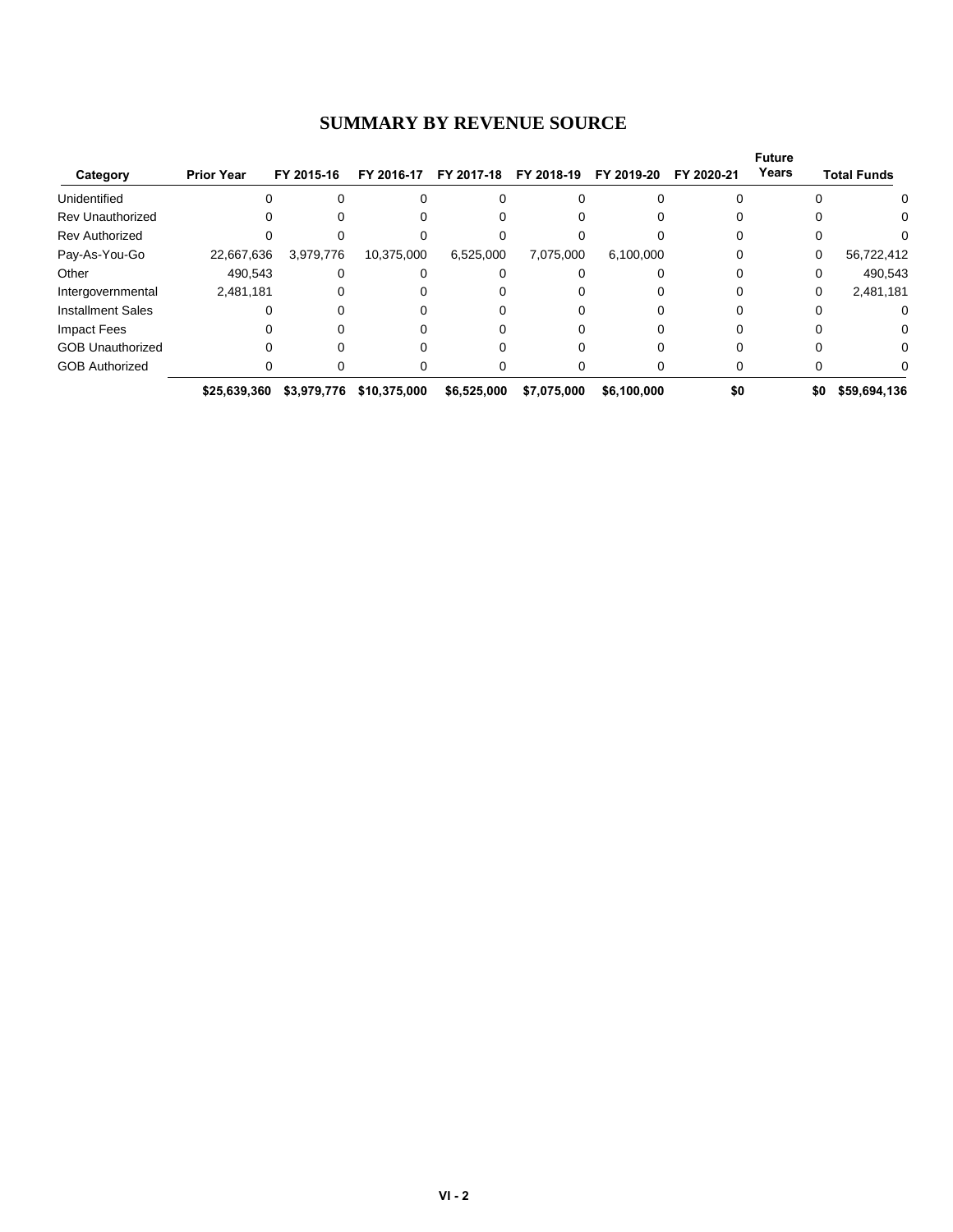#### **SUMMARY BY REVENUE SOURCE**

|                          |                   |             |              |             |             |             |            | <b>Future</b> |                    |
|--------------------------|-------------------|-------------|--------------|-------------|-------------|-------------|------------|---------------|--------------------|
| Category                 | <b>Prior Year</b> | FY 2015-16  | FY 2016-17   | FY 2017-18  | FY 2018-19  | FY 2019-20  | FY 2020-21 | Years         | <b>Total Funds</b> |
| Unidentified             |                   |             |              |             |             |             |            |               | 0                  |
| <b>Rev Unauthorized</b>  |                   |             |              |             |             |             |            |               | 0                  |
| <b>Rev Authorized</b>    |                   |             |              |             |             |             |            |               |                    |
| Pay-As-You-Go            | 22,667,636        | 3,979,776   | 10,375,000   | 6,525,000   | 7,075,000   | 6,100,000   |            | 0             | 56,722,412         |
| Other                    | 490,543           |             |              |             |             |             |            |               | 490,543            |
| Intergovernmental        | 2,481,181         |             |              |             |             |             |            | 0             | 2,481,181          |
| <b>Installment Sales</b> |                   |             |              |             |             |             |            |               | 0                  |
| <b>Impact Fees</b>       |                   |             |              |             |             |             |            |               | 0                  |
| <b>GOB Unauthorized</b>  |                   |             |              |             |             |             |            |               | 0                  |
| <b>GOB Authorized</b>    |                   |             |              |             |             |             |            |               |                    |
|                          | \$25,639,360      | \$3,979,776 | \$10,375,000 | \$6,525,000 | \$7,075,000 | \$6,100,000 | \$0        | \$0           | \$59,694,136       |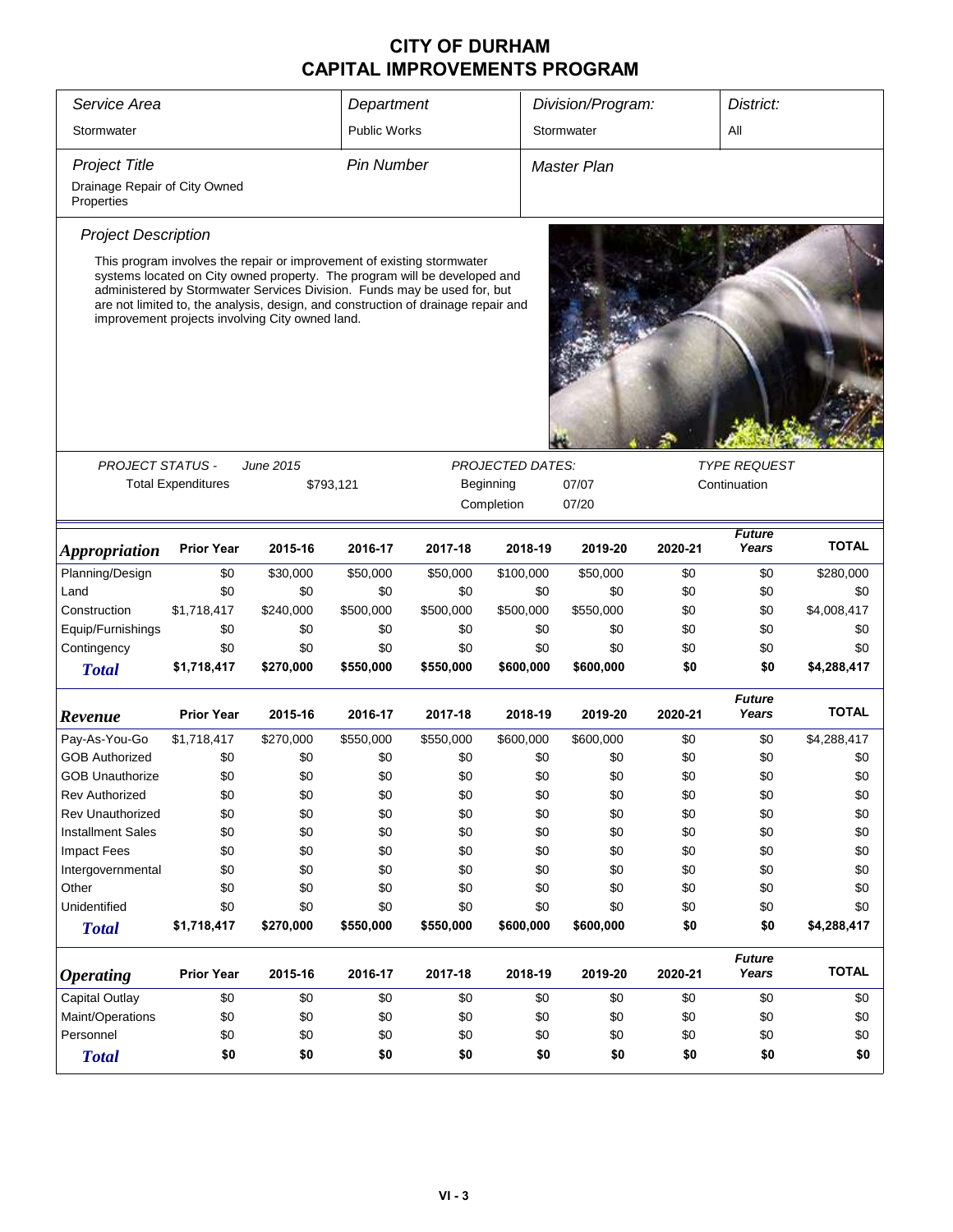| Service Area                                |                                                                                                                                                                                                                                                                                                                                                                         |           | Department          |           |                         | Division/Program: |         | District:              |              |
|---------------------------------------------|-------------------------------------------------------------------------------------------------------------------------------------------------------------------------------------------------------------------------------------------------------------------------------------------------------------------------------------------------------------------------|-----------|---------------------|-----------|-------------------------|-------------------|---------|------------------------|--------------|
| Stormwater                                  |                                                                                                                                                                                                                                                                                                                                                                         |           | <b>Public Works</b> |           |                         | Stormwater        |         | All                    |              |
| <b>Project Title</b>                        |                                                                                                                                                                                                                                                                                                                                                                         |           | <b>Pin Number</b>   |           |                         | Master Plan       |         |                        |              |
| Drainage Repair of City Owned<br>Properties |                                                                                                                                                                                                                                                                                                                                                                         |           |                     |           |                         |                   |         |                        |              |
| <b>Project Description</b>                  |                                                                                                                                                                                                                                                                                                                                                                         |           |                     |           |                         |                   |         |                        |              |
|                                             | This program involves the repair or improvement of existing stormwater<br>systems located on City owned property. The program will be developed and<br>administered by Stormwater Services Division. Funds may be used for, but<br>are not limited to, the analysis, design, and construction of drainage repair and<br>improvement projects involving City owned land. |           |                     |           |                         |                   |         |                        |              |
|                                             |                                                                                                                                                                                                                                                                                                                                                                         |           |                     |           |                         |                   |         |                        |              |
| <b>PROJECT STATUS -</b>                     |                                                                                                                                                                                                                                                                                                                                                                         | June 2015 |                     |           | <b>PROJECTED DATES:</b> |                   |         | <b>TYPE REQUEST</b>    |              |
|                                             | <b>Total Expenditures</b>                                                                                                                                                                                                                                                                                                                                               |           | \$793,121           |           | Beginning               | 07/07             |         | Continuation           |              |
|                                             |                                                                                                                                                                                                                                                                                                                                                                         |           |                     |           | Completion              | 07/20             |         |                        |              |
|                                             |                                                                                                                                                                                                                                                                                                                                                                         |           |                     |           |                         |                   |         | <b>Future</b>          | <b>TOTAL</b> |
| <i><b>Appropriation</b></i>                 | <b>Prior Year</b>                                                                                                                                                                                                                                                                                                                                                       | 2015-16   | 2016-17             | 2017-18   | 2018-19                 | 2019-20           | 2020-21 | Years                  |              |
| Planning/Design                             | \$0                                                                                                                                                                                                                                                                                                                                                                     | \$30,000  | \$50,000            | \$50,000  | \$100,000               | \$50,000          | \$0     | \$0                    | \$280,000    |
| Land                                        | \$0                                                                                                                                                                                                                                                                                                                                                                     | \$0       | \$0                 | \$0       | \$0                     | \$0               | \$0     | \$0                    | \$0          |
| Construction                                | \$1,718,417                                                                                                                                                                                                                                                                                                                                                             | \$240,000 | \$500,000           | \$500,000 | \$500,000               | \$550,000         | \$0     | \$0                    | \$4,008,417  |
| Equip/Furnishings                           | \$0                                                                                                                                                                                                                                                                                                                                                                     | \$0       | \$0                 | \$0       | \$0                     | \$0               | \$0     | \$0                    | \$0          |
| Contingency                                 | \$0                                                                                                                                                                                                                                                                                                                                                                     | \$0       | \$0                 | \$0       | \$0                     | \$0               | \$0     | \$0                    | \$0          |
| <b>Total</b>                                | \$1,718,417                                                                                                                                                                                                                                                                                                                                                             | \$270,000 | \$550,000           | \$550,000 | \$600,000               | \$600,000         | \$0     | \$0                    | \$4,288,417  |
| Revenue                                     | <b>Prior Year</b>                                                                                                                                                                                                                                                                                                                                                       | 2015-16   | 2016-17             | 2017-18   | 2018-19                 | 2019-20           | 2020-21 | <b>Future</b><br>Years | <b>TOTAL</b> |
| Pay-As-You-Go                               | \$1,718,417                                                                                                                                                                                                                                                                                                                                                             | \$270,000 | \$550,000           | \$550,000 | \$600,000               | \$600,000         | \$0     | \$0                    | \$4,288,417  |
| <b>GOB Authorized</b>                       | \$0                                                                                                                                                                                                                                                                                                                                                                     | \$0       | \$0                 | \$0       | \$0                     | \$0               | \$0     | \$0                    | \$0          |
| <b>GOB Unauthorize</b>                      | \$0                                                                                                                                                                                                                                                                                                                                                                     | \$0       | \$0                 | \$0       | \$0                     | \$0               | \$0     | \$0                    | \$0          |
| <b>Rev Authorized</b>                       | \$0                                                                                                                                                                                                                                                                                                                                                                     | \$0       | \$0                 | \$0       | \$0                     | \$0               | \$0     | \$0                    | \$0          |
| <b>Rev Unauthorized</b>                     | \$0                                                                                                                                                                                                                                                                                                                                                                     | \$0       | \$0                 | \$0       | \$0                     | \$0               | \$0     | \$0                    | \$0          |
| <b>Installment Sales</b>                    | \$0                                                                                                                                                                                                                                                                                                                                                                     | \$0       | \$0                 | \$0       | \$0                     | \$0               | \$0     | \$0                    | \$0          |
| <b>Impact Fees</b>                          | \$0                                                                                                                                                                                                                                                                                                                                                                     | \$0       | \$0                 | \$0       | \$0                     | \$0               | \$0     | \$0                    | \$0          |
| Intergovernmental                           | \$0                                                                                                                                                                                                                                                                                                                                                                     | \$0       | \$0                 | \$0       | \$0                     | \$0               | \$0     | \$0                    | \$0          |
| Other                                       | \$0                                                                                                                                                                                                                                                                                                                                                                     | \$0       | \$0                 | \$0       | \$0                     | \$0               | \$0     | \$0                    | \$0          |
| Unidentified                                | \$0                                                                                                                                                                                                                                                                                                                                                                     | \$0       | \$0                 | \$0       | \$0                     | \$0               | \$0     | \$0                    | \$0          |
| <b>Total</b>                                | \$1,718,417                                                                                                                                                                                                                                                                                                                                                             | \$270,000 | \$550,000           | \$550,000 | \$600,000               | \$600,000         | \$0     | \$0                    | \$4,288,417  |
|                                             |                                                                                                                                                                                                                                                                                                                                                                         |           |                     |           |                         |                   |         | <b>Future</b>          |              |
| <b>Operating</b>                            | <b>Prior Year</b>                                                                                                                                                                                                                                                                                                                                                       | 2015-16   | 2016-17             | 2017-18   | 2018-19                 | 2019-20           | 2020-21 | Years                  | <b>TOTAL</b> |
| <b>Capital Outlay</b>                       | \$0                                                                                                                                                                                                                                                                                                                                                                     | \$0       | \$0                 | \$0       | \$0                     | \$0               | \$0     | \$0                    | \$0          |
| Maint/Operations                            | \$0                                                                                                                                                                                                                                                                                                                                                                     | \$0       | \$0                 | \$0       | \$0                     | \$0               | \$0     | \$0                    | \$0          |
| Personnel                                   | \$0                                                                                                                                                                                                                                                                                                                                                                     | \$0       | \$0                 | \$0       | \$0                     | \$0               | \$0     | \$0                    | \$0          |
| <b>Total</b>                                | \$0                                                                                                                                                                                                                                                                                                                                                                     | \$0       | \$0                 | \$0       | \$0                     | \$0               | \$0     | \$0                    | \$0          |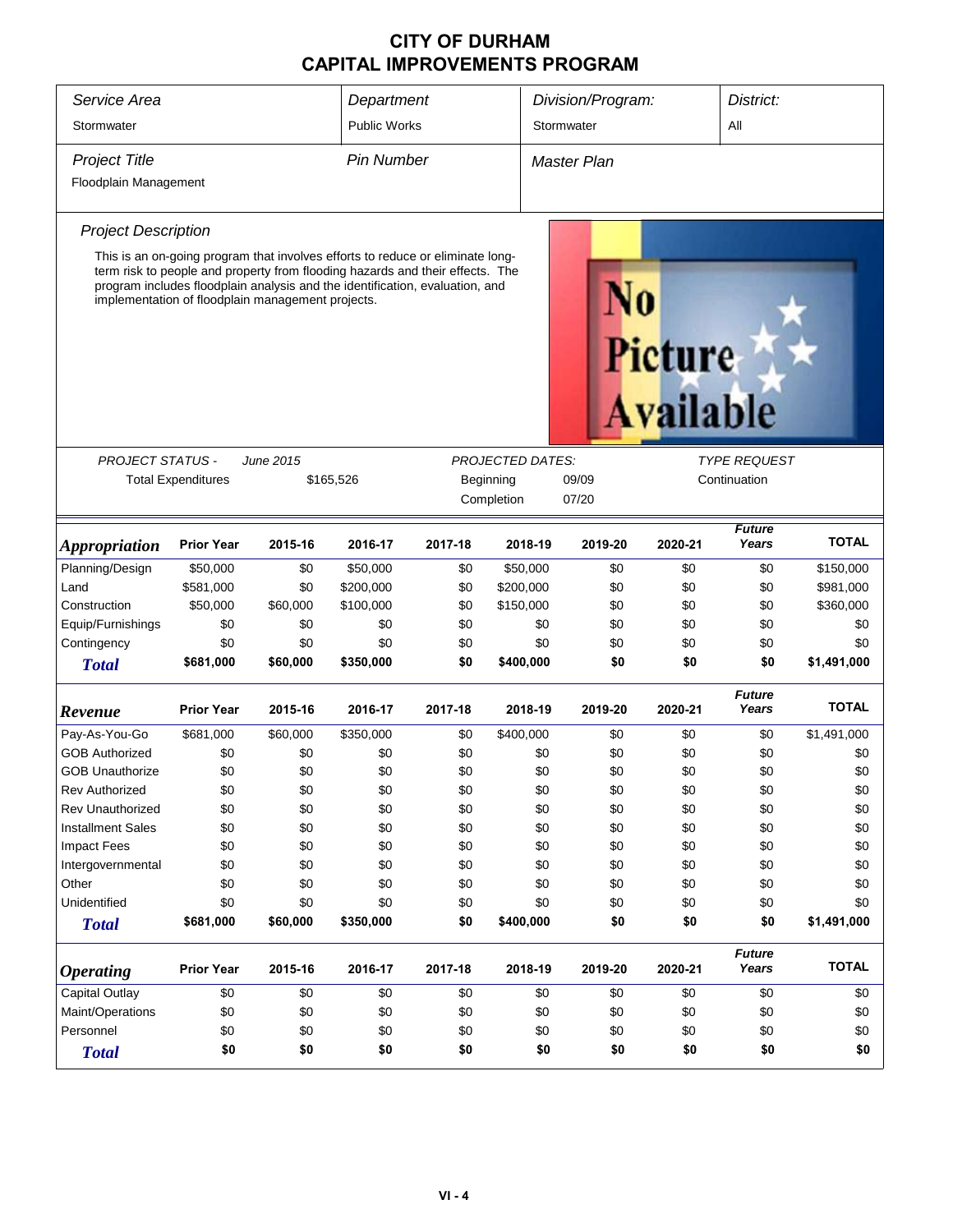| Service Area                | Department                |                                                                                                                                                                                                                                                                                                      |                     |         | Division/Program:<br>District: |             |                                    |                               |              |  |
|-----------------------------|---------------------------|------------------------------------------------------------------------------------------------------------------------------------------------------------------------------------------------------------------------------------------------------------------------------------------------------|---------------------|---------|--------------------------------|-------------|------------------------------------|-------------------------------|--------------|--|
| Stormwater                  |                           |                                                                                                                                                                                                                                                                                                      | <b>Public Works</b> |         |                                | Stormwater  |                                    |                               | All          |  |
| <b>Project Title</b>        |                           |                                                                                                                                                                                                                                                                                                      | <b>Pin Number</b>   |         |                                | Master Plan |                                    |                               |              |  |
| Floodplain Management       |                           |                                                                                                                                                                                                                                                                                                      |                     |         |                                |             |                                    |                               |              |  |
|                             |                           |                                                                                                                                                                                                                                                                                                      |                     |         |                                |             |                                    |                               |              |  |
| <b>Project Description</b>  |                           |                                                                                                                                                                                                                                                                                                      |                     |         |                                |             |                                    |                               |              |  |
|                             |                           | This is an on-going program that involves efforts to reduce or eliminate long-<br>term risk to people and property from flooding hazards and their effects. The<br>program includes floodplain analysis and the identification, evaluation, and<br>implementation of floodplain management projects. |                     |         |                                |             | <b>Picture</b><br><b>Available</b> |                               |              |  |
| <b>PROJECT STATUS -</b>     |                           | <b>June 2015</b>                                                                                                                                                                                                                                                                                     |                     |         | <b>PROJECTED DATES:</b>        |             |                                    | <b>TYPE REQUEST</b>           |              |  |
|                             | <b>Total Expenditures</b> | \$165,526                                                                                                                                                                                                                                                                                            |                     |         | Beginning                      | 09/09       |                                    | Continuation                  |              |  |
|                             |                           |                                                                                                                                                                                                                                                                                                      |                     |         | Completion                     | 07/20       |                                    |                               |              |  |
|                             |                           |                                                                                                                                                                                                                                                                                                      |                     |         |                                |             |                                    |                               |              |  |
| <i><b>Appropriation</b></i> | <b>Prior Year</b>         | 2015-16                                                                                                                                                                                                                                                                                              | 2016-17             | 2017-18 | 2018-19                        | 2019-20     | 2020-21                            | <b>Future</b><br>Years        | <b>TOTAL</b> |  |
| Planning/Design             | \$50,000                  | \$0                                                                                                                                                                                                                                                                                                  | \$50,000            | \$0     | \$50,000                       | \$0         | \$0                                | \$0                           | \$150,000    |  |
| Land                        | \$581,000                 | \$0                                                                                                                                                                                                                                                                                                  | \$200,000           | \$0     | \$200,000                      | \$0         | \$0                                | \$0                           | \$981,000    |  |
| Construction                | \$50,000                  | \$60,000                                                                                                                                                                                                                                                                                             | \$100,000           | \$0     | \$150,000                      | \$0         | \$0                                | \$0                           | \$360,000    |  |
| Equip/Furnishings           | \$0                       | \$0                                                                                                                                                                                                                                                                                                  | \$0                 | \$0     |                                | \$0<br>\$0  | \$0                                | \$0                           | \$0          |  |
| Contingency                 | \$0                       | \$0                                                                                                                                                                                                                                                                                                  | \$0                 | \$0     |                                | \$0<br>\$0  | \$0                                | \$0                           | \$0          |  |
| <b>Total</b>                | \$681,000                 | \$60,000                                                                                                                                                                                                                                                                                             | \$350,000           | \$0     | \$400,000                      | \$0         | \$0                                | \$0                           | \$1,491,000  |  |
| Revenue                     | <b>Prior Year</b>         | 2015-16                                                                                                                                                                                                                                                                                              | 2016-17             | 2017-18 | 2018-19                        | 2019-20     | 2020-21                            | <b>Future</b><br>Years        | <b>TOTAL</b> |  |
| Pay-As-You-Go               | \$681,000                 | \$60,000                                                                                                                                                                                                                                                                                             | \$350,000           | \$0     | \$400,000                      | \$0         | \$0                                | \$0                           | \$1,491,000  |  |
| <b>GOB Authorized</b>       | \$0                       | \$0                                                                                                                                                                                                                                                                                                  | \$0                 | \$0     |                                | \$0<br>\$0  | \$0                                | \$0                           | \$0          |  |
| <b>GOB Unauthorize</b>      | \$0                       | \$0                                                                                                                                                                                                                                                                                                  | \$0                 | \$0     |                                | \$0<br>\$0  | \$0                                | \$0                           | \$0          |  |
| <b>Rev Authorized</b>       | \$0                       | \$0                                                                                                                                                                                                                                                                                                  | \$0                 | \$0     |                                | \$0<br>\$0  | \$0                                | \$0                           | \$0          |  |
| <b>Rev Unauthorized</b>     | \$0                       | \$0                                                                                                                                                                                                                                                                                                  | \$0                 | \$0     |                                | \$0<br>\$0  | \$0                                | \$0                           | \$0          |  |
| <b>Installment Sales</b>    | \$0                       | \$0                                                                                                                                                                                                                                                                                                  | \$0                 | \$0     |                                | \$0<br>\$0  | \$0                                | \$0                           | \$0          |  |
| <b>Impact Fees</b>          | \$0                       | \$0                                                                                                                                                                                                                                                                                                  | \$0                 | \$0     |                                | \$0<br>\$0  | \$0                                | \$0                           | \$0          |  |
| Intergovernmental           | \$0                       | \$0                                                                                                                                                                                                                                                                                                  | \$0                 | \$0     |                                | \$0<br>\$0  | \$0                                | \$0                           | \$0          |  |
| Other                       | \$0                       | \$0                                                                                                                                                                                                                                                                                                  | \$0                 | \$0     |                                | \$0<br>\$0  | \$0                                | \$0                           | \$0          |  |
| Unidentified                | \$0                       | \$0                                                                                                                                                                                                                                                                                                  | \$0                 | \$0     |                                | \$0<br>\$0  | \$0                                | \$0                           | \$0          |  |
| <b>Total</b>                | \$681,000                 | \$60,000                                                                                                                                                                                                                                                                                             | \$350,000           | \$0     | \$400,000                      | \$0         | \$0                                | \$0                           | \$1,491,000  |  |
| <b>Operating</b>            | <b>Prior Year</b>         | 2015-16                                                                                                                                                                                                                                                                                              | 2016-17             | 2017-18 | 2018-19                        | 2019-20     | 2020-21                            | <b>Future</b><br><b>Years</b> | <b>TOTAL</b> |  |
| Capital Outlay              | \$0                       | \$0                                                                                                                                                                                                                                                                                                  | \$0                 | \$0     | \$0                            | \$0         | \$0                                | \$0                           | \$0          |  |
| Maint/Operations            | \$0                       | \$0                                                                                                                                                                                                                                                                                                  | \$0                 | \$0     |                                | \$0<br>\$0  | \$0                                | \$0                           | \$0          |  |
| Personnel                   | \$0                       | \$0                                                                                                                                                                                                                                                                                                  | \$0                 | \$0     |                                | \$0<br>\$0  | \$0                                | \$0                           | \$0          |  |
| <b>Total</b>                | \$0                       | \$0                                                                                                                                                                                                                                                                                                  | \$0                 | \$0     |                                | \$0<br>\$0  | \$0                                | \$0                           | \$0          |  |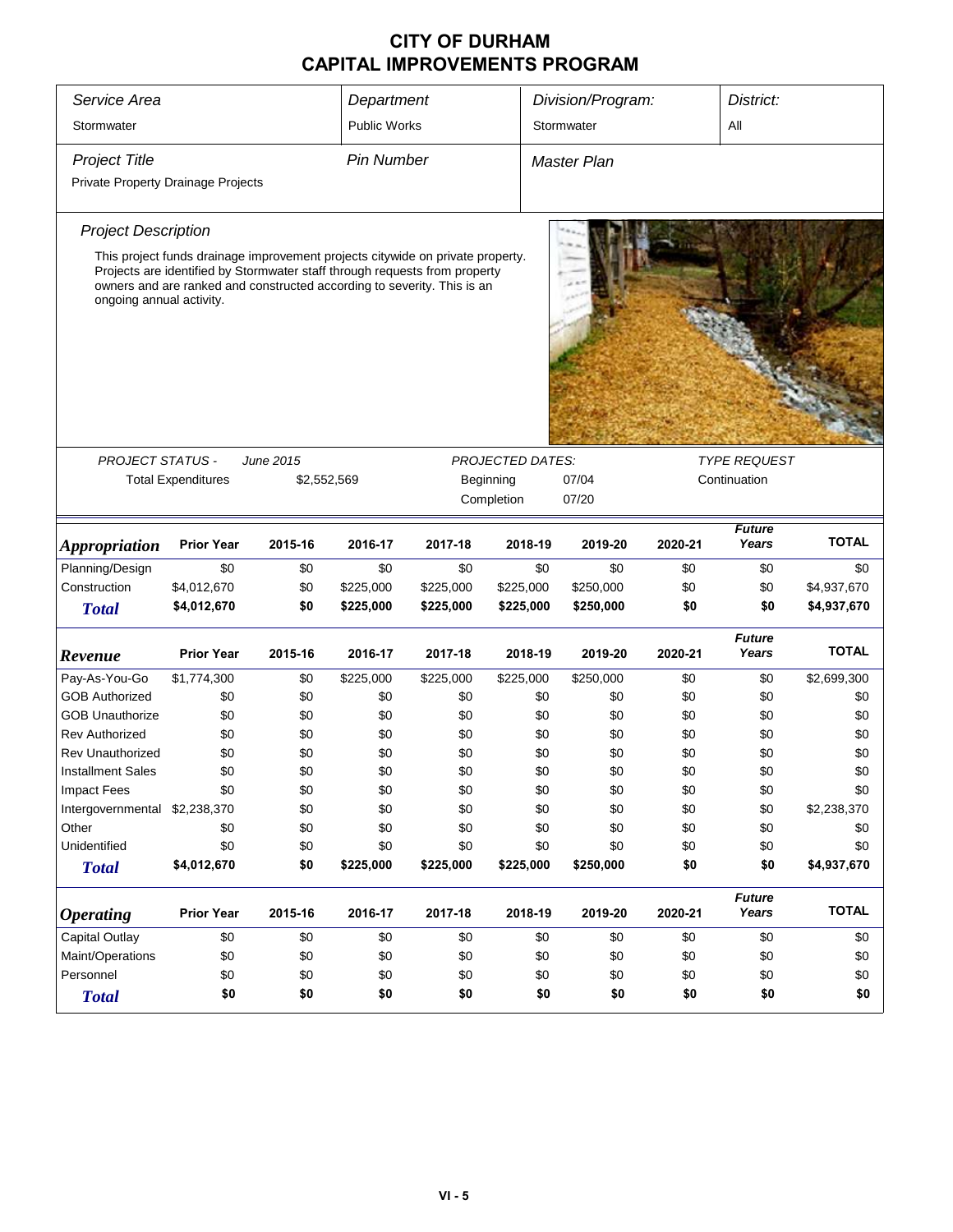| Service Area<br>Stormwater         |                                                                                                                                                                                                                                         |             | Department<br><b>Public Works</b> |           |                         | Division/Program:<br>Stormwater |              | District:<br>All       |              |  |
|------------------------------------|-----------------------------------------------------------------------------------------------------------------------------------------------------------------------------------------------------------------------------------------|-------------|-----------------------------------|-----------|-------------------------|---------------------------------|--------------|------------------------|--------------|--|
| <b>Project Title</b>               |                                                                                                                                                                                                                                         |             | <b>Pin Number</b>                 |           |                         | <b>Master Plan</b>              |              |                        |              |  |
| Private Property Drainage Projects |                                                                                                                                                                                                                                         |             |                                   |           |                         |                                 |              |                        |              |  |
| <b>Project Description</b>         |                                                                                                                                                                                                                                         |             |                                   |           |                         |                                 |              |                        |              |  |
| ongoing annual activity.           | This project funds drainage improvement projects citywide on private property.<br>Projects are identified by Stormwater staff through requests from property<br>owners and are ranked and constructed according to severity. This is an |             |                                   |           |                         |                                 |              |                        |              |  |
|                                    |                                                                                                                                                                                                                                         |             |                                   |           |                         |                                 |              |                        |              |  |
| PROJECT STATUS -                   |                                                                                                                                                                                                                                         | June 2015   |                                   |           | <b>PROJECTED DATES:</b> |                                 |              | <b>TYPE REQUEST</b>    |              |  |
|                                    | <b>Total Expenditures</b>                                                                                                                                                                                                               | \$2,552,569 |                                   |           | Beginning               | 07/04                           | Continuation |                        |              |  |
|                                    |                                                                                                                                                                                                                                         |             |                                   |           | Completion              | 07/20                           |              |                        |              |  |
| <b>Appropriation</b>               | <b>Prior Year</b>                                                                                                                                                                                                                       | 2015-16     | 2016-17                           | 2017-18   | 2018-19                 | 2019-20                         | 2020-21      | <b>Future</b><br>Years | <b>TOTAL</b> |  |
| Planning/Design                    | \$0                                                                                                                                                                                                                                     | \$0         | \$0                               | \$0       | \$0                     | \$0                             | \$0          | \$0                    | \$0          |  |
| Construction                       | \$4,012,670                                                                                                                                                                                                                             | \$0         | \$225,000                         | \$225,000 | \$225,000               | \$250,000                       | \$0          | \$0                    | \$4,937,670  |  |
| <b>Total</b>                       | \$4,012,670                                                                                                                                                                                                                             | \$0         | \$225,000                         | \$225,000 | \$225,000               | \$250,000                       | \$0          | \$0                    | \$4,937,670  |  |
| Revenue                            | <b>Prior Year</b>                                                                                                                                                                                                                       | 2015-16     | 2016-17                           | 2017-18   | 2018-19                 | 2019-20                         | 2020-21      | <b>Future</b><br>Years | <b>TOTAL</b> |  |
| Pay-As-You-Go                      | \$1,774,300                                                                                                                                                                                                                             | \$0         | \$225,000                         | \$225,000 | \$225,000               | \$250,000                       | \$0          | \$0                    | \$2,699,300  |  |
| <b>GOB Authorized</b>              | \$0                                                                                                                                                                                                                                     | \$0         | \$0                               | \$0       | \$0                     | \$0                             | \$0          | \$0                    | \$0          |  |
| <b>GOB Unauthorize</b>             | \$0                                                                                                                                                                                                                                     | \$0         | \$0                               | \$0       | \$0                     | \$0                             | \$0          | \$0                    | \$0          |  |
| <b>Rev Authorized</b>              | \$0                                                                                                                                                                                                                                     | \$0         | \$0                               | \$0       | \$0                     | \$0                             | \$0          | \$0                    | \$0          |  |
| <b>Rev Unauthorized</b>            | \$0                                                                                                                                                                                                                                     | \$0         | \$0                               | \$0       | \$0                     | \$0                             | \$0          | \$0                    | \$0          |  |
| <b>Installment Sales</b>           | \$0                                                                                                                                                                                                                                     | \$0         | \$0                               | \$0       | \$0                     | \$0                             | \$0          | \$0                    | \$0          |  |
| <b>Impact Fees</b>                 | \$0                                                                                                                                                                                                                                     | \$0         | \$0                               | \$0       | \$0                     | \$0                             | \$0          | \$0                    | \$0          |  |
| Intergovernmental \$2,238,370      |                                                                                                                                                                                                                                         | \$0         | \$0                               | \$0       | \$0                     | \$0                             | \$0          | \$0                    | \$2,238,370  |  |
| Other                              | \$0                                                                                                                                                                                                                                     | \$0         | \$0                               | \$0       | \$0                     | \$0                             | \$0          | \$0                    | \$0          |  |
| Unidentified                       | \$0                                                                                                                                                                                                                                     | \$0         | \$0                               | \$0       | \$0                     | \$0                             | \$0          | \$0                    | \$0          |  |
| <b>Total</b>                       | \$4,012,670                                                                                                                                                                                                                             | \$0         | \$225,000                         | \$225,000 | \$225,000               | \$250,000                       | \$0          | \$0                    | \$4,937,670  |  |
| <b>Operating</b>                   | <b>Prior Year</b>                                                                                                                                                                                                                       | 2015-16     | 2016-17                           | 2017-18   | 2018-19                 | 2019-20                         | 2020-21      | <b>Future</b><br>Years | <b>TOTAL</b> |  |
| <b>Capital Outlay</b>              | \$0                                                                                                                                                                                                                                     | \$0         | \$0                               | \$0       | \$0                     | \$0                             | \$0          | \$0                    | \$0          |  |
| Maint/Operations                   | \$0                                                                                                                                                                                                                                     | \$0         | \$0                               | \$0       | \$0                     | \$0                             | \$0          | \$0                    | \$0          |  |
| Personnel                          | \$0                                                                                                                                                                                                                                     | \$0         | \$0                               | \$0       | \$0                     | \$0                             | \$0          | \$0                    | \$0          |  |
| <b>Total</b>                       | \$0                                                                                                                                                                                                                                     | \$0         | \$0                               | \$0       | \$0                     | \$0                             | \$0          | \$0                    | \$0          |  |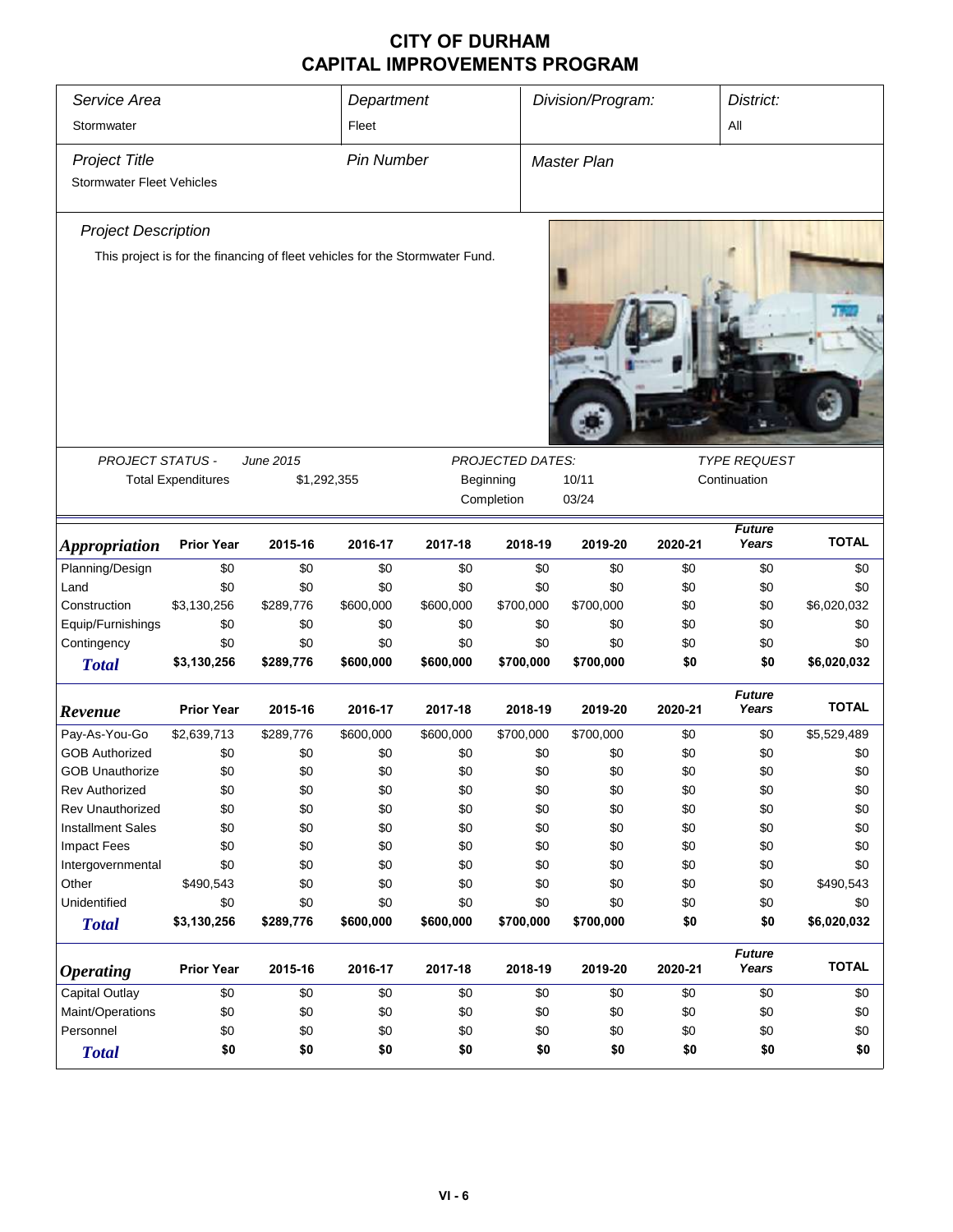| Service Area<br>Stormwater                               |                           |                                                                              | Department<br>Fleet |           |                         | Division/Program: |         | District:<br>All       |              |
|----------------------------------------------------------|---------------------------|------------------------------------------------------------------------------|---------------------|-----------|-------------------------|-------------------|---------|------------------------|--------------|
| <b>Project Title</b><br><b>Stormwater Fleet Vehicles</b> |                           |                                                                              | <b>Pin Number</b>   |           |                         | Master Plan       |         |                        |              |
| <b>Project Description</b>                               |                           |                                                                              |                     |           |                         |                   |         |                        |              |
|                                                          |                           | This project is for the financing of fleet vehicles for the Stormwater Fund. |                     |           |                         |                   |         |                        |              |
| <b>PROJECT STATUS -</b>                                  |                           | June 2015                                                                    |                     |           | <b>PROJECTED DATES:</b> |                   |         | <b>TYPE REQUEST</b>    |              |
|                                                          | <b>Total Expenditures</b> | \$1,292,355                                                                  |                     |           | Beginning<br>Completion | 10/11<br>03/24    |         | Continuation           |              |
| <b>Appropriation</b>                                     | <b>Prior Year</b>         | 2015-16                                                                      | 2016-17             | 2017-18   | 2018-19                 | 2019-20           | 2020-21 | <b>Future</b><br>Years | <b>TOTAL</b> |
| Planning/Design                                          | \$0                       | \$0                                                                          | \$0                 | \$0       | \$0                     | \$0               | \$0     | \$0                    | \$0          |
| Land                                                     | \$0                       | \$0                                                                          | \$0                 | \$0       | \$0                     | \$0               | \$0     | \$0                    | \$0          |
| Construction                                             | \$3,130,256               | \$289,776                                                                    | \$600,000           | \$600,000 | \$700,000               | \$700,000         | \$0     | \$0                    | \$6,020,032  |
| Equip/Furnishings                                        | \$0                       | \$0                                                                          | \$0                 | \$0       | \$0                     | \$0               | \$0     | \$0                    | \$0          |
| Contingency                                              | \$0                       | \$0                                                                          | \$0                 | \$0       | \$0                     | \$0               | \$0     | \$0                    | \$0          |
| <b>Total</b>                                             | \$3,130,256               | \$289,776                                                                    | \$600,000           | \$600,000 | \$700,000               | \$700,000         | \$0     | \$0                    | \$6,020,032  |
| Revenue                                                  | <b>Prior Year</b>         | 2015-16                                                                      | 2016-17             | 2017-18   | 2018-19                 | 2019-20           | 2020-21 | <b>Future</b><br>Years | <b>TOTAL</b> |
| Pay-As-You-Go                                            | \$2,639,713               | \$289,776                                                                    | \$600,000           | \$600,000 | \$700,000               | \$700,000         | \$0     | \$0                    | \$5,529,489  |
| <b>GOB Authorized</b>                                    | \$0                       | \$0                                                                          | \$0                 | \$0       | \$0                     | \$0               | \$0     | \$0                    | \$0          |
| <b>GOB Unauthorize</b>                                   | \$0                       | \$0                                                                          | \$0                 | \$0       | \$0                     | \$0               | \$0     | \$0                    | \$0          |
| Rev Authorized                                           | \$0                       | \$0                                                                          | \$0                 | \$0       | \$0                     | \$0               | \$0     | \$0                    | \$0          |
| <b>Rev Unauthorized</b>                                  | \$0                       | \$0                                                                          | \$0                 | \$0       | \$0                     | \$0               | \$0     | \$0                    | \$0          |
| <b>Installment Sales</b>                                 | \$0                       | \$0                                                                          | \$0                 | \$0       | \$0                     | \$0               | \$0     | \$0                    | \$0          |
| <b>Impact Fees</b>                                       | \$0                       | \$0                                                                          | \$0                 | \$0       | \$0                     | \$0               | \$0     | \$0                    | \$0          |
| Intergovernmental                                        | \$0                       | \$0                                                                          | \$0                 | \$0       | \$0                     | \$0               | \$0     | \$0                    | \$0          |
| Other                                                    | \$490,543                 | \$0                                                                          | \$0                 | \$0       | \$0                     | \$0               | \$0     | \$0                    | \$490,543    |
| Unidentified                                             | \$0                       | \$0                                                                          | \$0                 | \$0       | \$0                     | \$0               | \$0     | \$0                    | \$0          |
| <b>Total</b>                                             | \$3,130,256               | \$289,776                                                                    | \$600,000           | \$600,000 | \$700,000               | \$700,000         | \$0     | \$0                    | \$6,020,032  |
| <b>Operating</b>                                         | <b>Prior Year</b>         | 2015-16                                                                      | 2016-17             | 2017-18   | 2018-19                 | 2019-20           | 2020-21 | <b>Future</b><br>Years | <b>TOTAL</b> |
| <b>Capital Outlay</b>                                    | \$0                       | \$0                                                                          | \$0                 | \$0       | \$0                     | \$0               | \$0     | \$0                    | \$0          |
| Maint/Operations                                         | \$0                       | \$0                                                                          | \$0                 | \$0       | \$0                     | \$0               | \$0     | \$0                    | \$0          |
| Personnel                                                | \$0                       | \$0                                                                          | \$0                 | \$0       | \$0                     | \$0               | \$0     | \$0                    | \$0          |
| <b>Total</b>                                             | \$0                       | \$0                                                                          | \$0                 | \$0       | \$0                     | \$0               | \$0     | \$0                    | \$0          |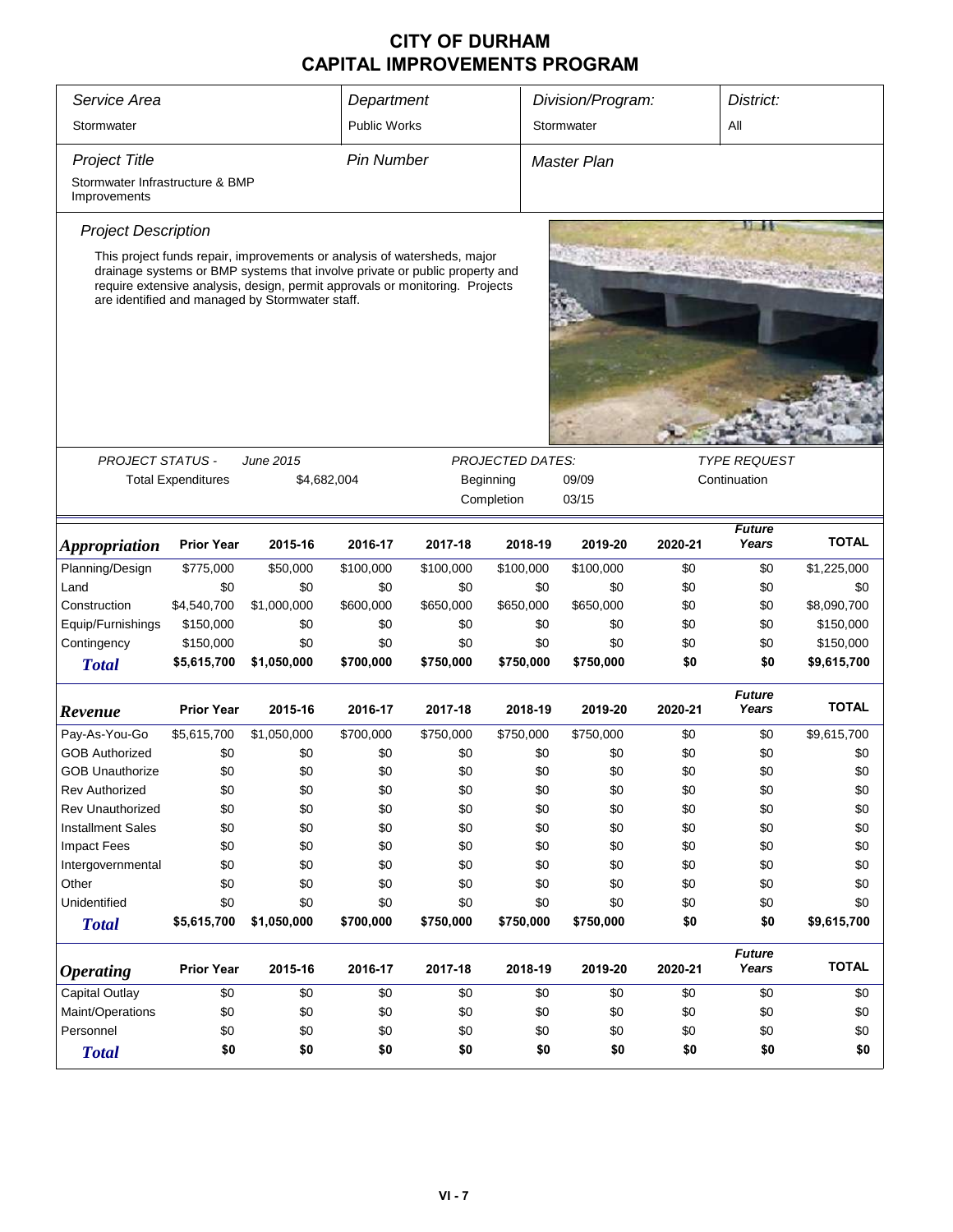| Service Area                                    | Department                | Division/Program:                                                                                                                                                                                                                                                                          |                     |                                  |                         | District:  |         |                        |              |
|-------------------------------------------------|---------------------------|--------------------------------------------------------------------------------------------------------------------------------------------------------------------------------------------------------------------------------------------------------------------------------------------|---------------------|----------------------------------|-------------------------|------------|---------|------------------------|--------------|
| Stormwater                                      |                           |                                                                                                                                                                                                                                                                                            | <b>Public Works</b> |                                  |                         | Stormwater |         | All                    |              |
| <b>Project Title</b>                            |                           |                                                                                                                                                                                                                                                                                            |                     | <b>Pin Number</b><br>Master Plan |                         |            |         |                        |              |
| Stormwater Infrastructure & BMP<br>Improvements |                           |                                                                                                                                                                                                                                                                                            |                     |                                  |                         |            |         |                        |              |
| <b>Project Description</b>                      |                           |                                                                                                                                                                                                                                                                                            |                     |                                  |                         |            |         |                        |              |
|                                                 |                           | This project funds repair, improvements or analysis of watersheds, major<br>drainage systems or BMP systems that involve private or public property and<br>require extensive analysis, design, permit approvals or monitoring. Projects<br>are identified and managed by Stormwater staff. |                     |                                  |                         |            |         |                        |              |
|                                                 |                           |                                                                                                                                                                                                                                                                                            |                     |                                  |                         |            |         |                        |              |
| <b>PROJECT STATUS -</b>                         |                           | June 2015                                                                                                                                                                                                                                                                                  |                     |                                  | <b>PROJECTED DATES:</b> |            |         | <b>TYPE REQUEST</b>    |              |
|                                                 | <b>Total Expenditures</b> | \$4,682,004                                                                                                                                                                                                                                                                                |                     |                                  | Beginning               | 09/09      |         | Continuation           |              |
|                                                 |                           |                                                                                                                                                                                                                                                                                            |                     |                                  | Completion              | 03/15      |         |                        |              |
| <i><b>Appropriation</b></i>                     | <b>Prior Year</b>         | 2015-16                                                                                                                                                                                                                                                                                    | 2016-17             | 2017-18                          | 2018-19                 | 2019-20    | 2020-21 | <b>Future</b><br>Years | <b>TOTAL</b> |
| Planning/Design                                 | \$775,000                 | \$50,000                                                                                                                                                                                                                                                                                   | \$100,000           | \$100,000                        | \$100,000               | \$100,000  | \$0     | \$0                    | \$1,225,000  |
| Land                                            | \$0                       | \$0                                                                                                                                                                                                                                                                                        | \$0                 | \$0                              | \$0                     | \$0        | \$0     | \$0                    | \$0          |
| Construction                                    | \$4,540,700               | \$1,000,000                                                                                                                                                                                                                                                                                | \$600,000           | \$650,000                        | \$650,000               | \$650,000  | \$0     | \$0                    | \$8,090,700  |
| Equip/Furnishings                               | \$150,000                 | \$0                                                                                                                                                                                                                                                                                        | \$0                 | \$0                              | \$0                     | \$0        | \$0     | \$0                    | \$150,000    |
| Contingency                                     | \$150,000                 | \$0                                                                                                                                                                                                                                                                                        | \$0                 | \$0                              | \$0                     | \$0        | \$0     | \$0                    | \$150,000    |
| <b>Total</b>                                    | \$5,615,700               | \$1,050,000                                                                                                                                                                                                                                                                                | \$700,000           | \$750,000                        | \$750,000               | \$750,000  | \$0     | \$0                    | \$9,615,700  |
|                                                 |                           |                                                                                                                                                                                                                                                                                            |                     |                                  |                         |            |         | <b>Future</b>          |              |
| Revenue                                         | <b>Prior Year</b>         | 2015-16                                                                                                                                                                                                                                                                                    | 2016-17             | 2017-18                          | 2018-19                 | 2019-20    | 2020-21 | Years                  | <b>TOTAL</b> |
| Pay-As-You-Go                                   | \$5,615,700               | \$1,050,000                                                                                                                                                                                                                                                                                | \$700,000           | \$750,000                        | \$750,000               | \$750,000  | \$0     | \$0                    | \$9,615,700  |
| <b>GOB Authorized</b>                           | \$0                       | \$0                                                                                                                                                                                                                                                                                        | \$0                 | \$0                              | \$0                     | \$0        | \$0     | \$0                    | \$0          |
| <b>GOB Unauthorize</b>                          | \$0                       | \$0                                                                                                                                                                                                                                                                                        | \$0                 | \$0                              | \$0                     | \$0        | \$0     | \$0                    | \$0          |
| Rev Authorized                                  | \$0                       | \$0                                                                                                                                                                                                                                                                                        | \$0                 | \$0                              | \$0                     | \$0        | \$0     | \$0                    | \$0          |
| <b>Rev Unauthorized</b>                         | \$0                       | \$0                                                                                                                                                                                                                                                                                        | \$0                 | \$0                              | \$0                     | \$0        | \$0     | \$0                    | \$0          |
| <b>Installment Sales</b>                        | \$0                       | \$0                                                                                                                                                                                                                                                                                        | \$0                 | \$0                              | \$0                     | \$0        | \$0     | \$0                    | \$0          |
| <b>Impact Fees</b>                              | \$0                       | \$0                                                                                                                                                                                                                                                                                        | \$0                 | \$0                              | \$0                     | \$0        | \$0     | \$0                    | \$0          |
| Intergovernmental                               | \$0                       | \$0                                                                                                                                                                                                                                                                                        | \$0                 | \$0                              | \$0                     | \$0        | \$0     | \$0                    | \$0          |
| Other                                           | \$0                       | \$0                                                                                                                                                                                                                                                                                        | \$0                 | \$0                              | \$0                     | \$0        | \$0     | \$0                    | \$0          |
| Unidentified                                    | \$0                       | \$0                                                                                                                                                                                                                                                                                        | \$0                 | \$0                              | \$0                     | \$0        | \$0     | \$0                    | \$0          |
| <b>Total</b>                                    | \$5,615,700               | \$1,050,000                                                                                                                                                                                                                                                                                | \$700,000           | \$750,000                        | \$750,000               | \$750,000  | \$0     | \$0                    | \$9,615,700  |
| <b>Operating</b>                                | <b>Prior Year</b>         | 2015-16                                                                                                                                                                                                                                                                                    | 2016-17             | 2017-18                          | 2018-19                 | 2019-20    | 2020-21 | <b>Future</b><br>Years | <b>TOTAL</b> |
| Capital Outlay                                  | \$0                       | \$0                                                                                                                                                                                                                                                                                        | \$0                 | \$0                              | \$0                     | \$0        | \$0     | \$0                    | \$0          |
| Maint/Operations                                | \$0                       | \$0                                                                                                                                                                                                                                                                                        | \$0                 | \$0                              | \$0                     | \$0        | \$0     | \$0                    | \$0          |
| Personnel                                       | \$0                       | \$0                                                                                                                                                                                                                                                                                        | \$0                 | \$0                              | \$0                     | \$0        | \$0     | \$0                    | \$0          |
| <b>Total</b>                                    | \$0                       | \$0                                                                                                                                                                                                                                                                                        | \$0                 | \$0                              | \$0                     | \$0        | \$0     | \$0                    | \$0          |
|                                                 |                           |                                                                                                                                                                                                                                                                                            |                     |                                  |                         |            |         |                        |              |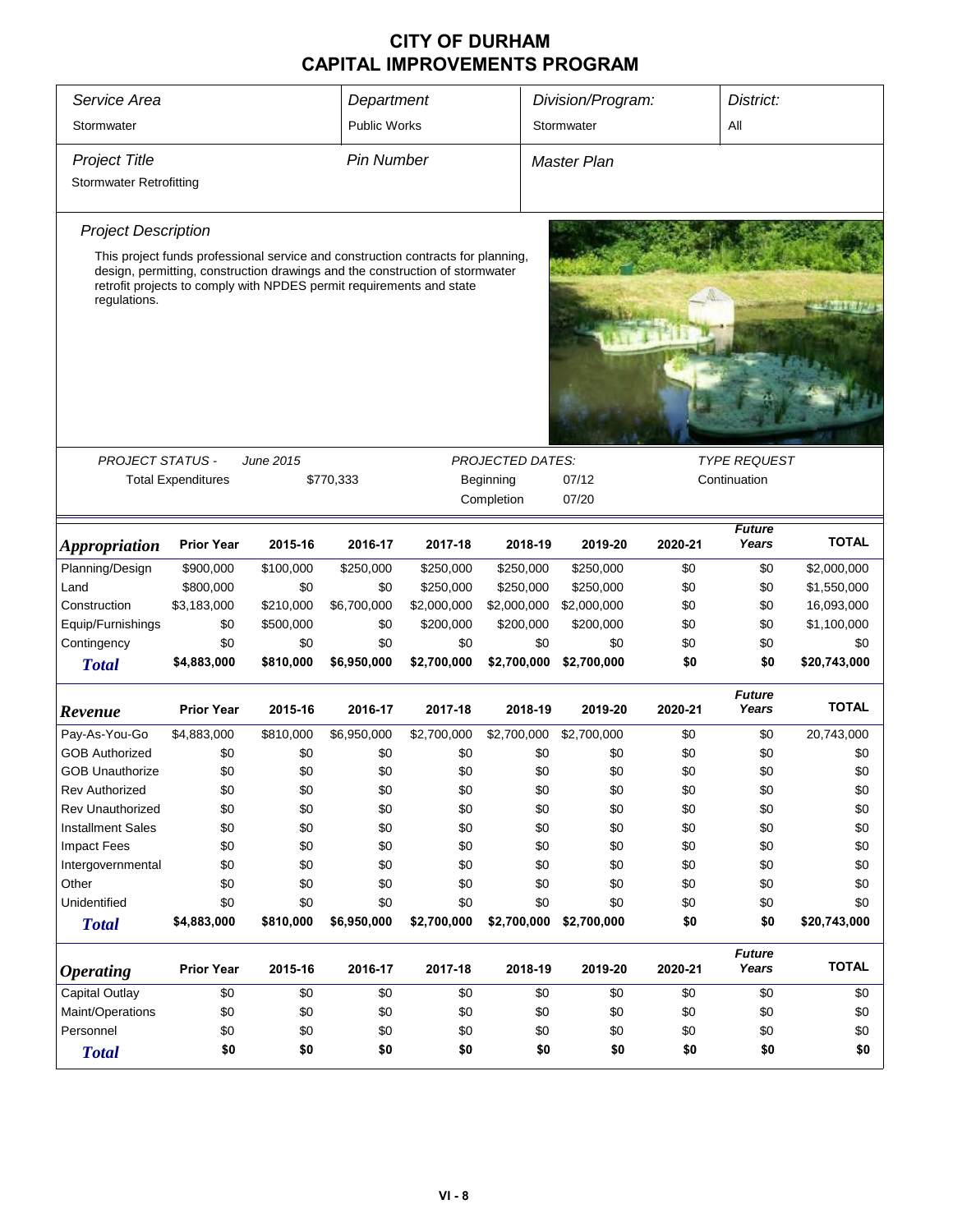| Service Area<br>Division/Program:<br>District:<br>Department<br><b>Public Works</b><br>Stormwater<br>All<br>Stormwater<br><b>Pin Number</b><br><b>Project Title</b><br><b>Master Plan</b><br><b>Stormwater Retrofitting</b><br><b>Project Description</b><br>This project funds professional service and construction contracts for planning,<br>design, permitting, construction drawings and the construction of stormwater<br>retrofit projects to comply with NPDES permit requirements and state<br>regulations.<br><b>PROJECT STATUS -</b><br>June 2015<br><b>PROJECTED DATES:</b><br><b>TYPE REQUEST</b><br><b>Total Expenditures</b><br>Beginning<br>07/12<br>Continuation<br>\$770,333<br>Completion<br>07/20<br><b>Future</b><br><b>TOTAL</b><br>2016-17<br>2018-19<br>Years<br><b>Prior Year</b><br>2015-16<br>2017-18<br>2019-20<br>2020-21<br><b>Appropriation</b><br>Planning/Design<br>\$0<br>\$900,000<br>\$100,000<br>\$250,000<br>\$250,000<br>\$250,000<br>\$250,000<br>\$0<br>\$2,000,000<br>\$800,000<br>\$0<br>\$0<br>\$250,000<br>\$250,000<br>\$250,000<br>\$0<br>\$0<br>\$1,550,000<br>Land<br>16,093,000<br>Construction<br>\$3,183,000<br>\$210,000<br>\$6,700,000<br>\$2,000,000<br>\$2,000,000<br>\$2,000,000<br>\$0<br>\$0<br>Equip/Furnishings<br>\$0<br>\$500,000<br>\$0<br>\$200,000<br>\$200,000<br>\$200,000<br>\$0<br>\$0<br>\$1,100,000<br>Contingency<br>\$0<br>\$0<br>\$0<br>\$0<br>\$0<br>\$0<br>\$0<br>\$0<br>\$0<br>\$4,883,000<br>\$810,000<br>\$6,950,000<br>\$2,700,000<br>\$2,700,000<br>\$2,700,000<br>\$0<br>\$0<br>\$20,743,000<br><b>Total</b><br><b>Future</b><br><b>TOTAL</b><br><b>Prior Year</b><br>2016-17<br>2018-19<br>2015-16<br>2017-18<br>2019-20<br>2020-21<br>Years<br>Revenue<br>Pay-As-You-Go<br>\$6,950,000<br>\$2,700,000<br>\$2,700,000<br>\$2,700,000<br>\$0<br>\$0<br>20,743,000<br>\$4,883,000<br>\$810,000<br><b>GOB Authorized</b><br>\$0<br>\$0<br>\$0<br>\$0<br>\$0<br>\$0<br>\$0<br>\$0<br>\$0<br>\$0<br>\$0<br>\$0<br>\$0<br>\$0<br>\$0<br>\$0<br>\$0<br>\$0<br><b>GOB Unauthorize</b><br>\$0<br>\$0<br>\$0<br>\$0<br>\$0<br>\$0<br><b>Rev Authorized</b><br>\$0<br>\$0<br>\$0<br><b>Rev Unauthorized</b><br>\$0<br>\$0<br>\$0<br>\$0<br>\$0<br>\$0<br>\$0<br>\$0<br>\$0<br><b>Installment Sales</b><br>\$0<br>\$0<br>\$0<br>\$0<br>\$0<br>\$0<br>\$0<br>\$0<br>\$0<br><b>Impact Fees</b><br>\$0<br>\$0<br>\$0<br>\$0<br>\$0<br>\$0<br>\$0<br>\$0<br>\$0<br>\$0<br>\$0<br>\$0<br>\$0<br>\$0<br>\$0<br>\$0<br>\$0<br>\$0<br>Intergovernmental<br>Other<br>\$0<br>\$0<br>\$0<br>\$0<br>\$0<br>\$0<br>\$0<br>\$0<br>\$0<br>Unidentified<br>\$0<br>\$0<br>\$0<br>\$0<br>\$0<br>\$0<br>\$0<br>\$0<br>\$0<br>\$0<br>\$4,883,000<br>\$810,000<br>\$6,950,000<br>\$2,700,000<br>\$2,700,000<br>\$0<br>\$20,743,000<br>\$2,700,000<br><b>Total</b><br><b>Future</b><br><b>TOTAL</b><br>Years<br><b>Prior Year</b><br>2015-16<br>2016-17<br>2017-18<br>2018-19<br>2019-20<br>2020-21<br><b>Operating</b><br>Capital Outlay<br>\$0<br>\$0<br>\$0<br>\$0<br>\$0<br>\$0<br>\$0<br>\$0<br>\$0<br>\$0<br>Maint/Operations<br>\$0<br>\$0<br>\$0<br>\$0<br>\$0<br>\$0<br>\$0<br>\$0<br>\$0<br>Personnel<br>\$0<br>\$0<br>\$0<br>\$0<br>\$0<br>\$0<br>\$0<br>\$0<br>\$0<br>\$0<br>\$0<br>\$0<br>\$0<br>\$0<br>\$0<br>\$0<br>\$0<br><b>Total</b> |  |  |  |  |  |  |  |  |  |
|-----------------------------------------------------------------------------------------------------------------------------------------------------------------------------------------------------------------------------------------------------------------------------------------------------------------------------------------------------------------------------------------------------------------------------------------------------------------------------------------------------------------------------------------------------------------------------------------------------------------------------------------------------------------------------------------------------------------------------------------------------------------------------------------------------------------------------------------------------------------------------------------------------------------------------------------------------------------------------------------------------------------------------------------------------------------------------------------------------------------------------------------------------------------------------------------------------------------------------------------------------------------------------------------------------------------------------------------------------------------------------------------------------------------------------------------------------------------------------------------------------------------------------------------------------------------------------------------------------------------------------------------------------------------------------------------------------------------------------------------------------------------------------------------------------------------------------------------------------------------------------------------------------------------------------------------------------------------------------------------------------------------------------------------------------------------------------------------------------------------------------------------------------------------------------------------------------------------------------------------------------------------------------------------------------------------------------------------------------------------------------------------------------------------------------------------------------------------------------------------------------------------------------------------------------------------------------------------------------------------------------------------------------------------------------------------------------------------------------------------------------------------------------------------------------------------------------------------------------------------------------------------------------------------------------------------------------------------------------------------------------------------------------------------------------------------------------------------------------------------------------------------------------------------------------------------------------------------------------------------------------------------------------------------------------------|--|--|--|--|--|--|--|--|--|
|                                                                                                                                                                                                                                                                                                                                                                                                                                                                                                                                                                                                                                                                                                                                                                                                                                                                                                                                                                                                                                                                                                                                                                                                                                                                                                                                                                                                                                                                                                                                                                                                                                                                                                                                                                                                                                                                                                                                                                                                                                                                                                                                                                                                                                                                                                                                                                                                                                                                                                                                                                                                                                                                                                                                                                                                                                                                                                                                                                                                                                                                                                                                                                                                                                                                                                           |  |  |  |  |  |  |  |  |  |
|                                                                                                                                                                                                                                                                                                                                                                                                                                                                                                                                                                                                                                                                                                                                                                                                                                                                                                                                                                                                                                                                                                                                                                                                                                                                                                                                                                                                                                                                                                                                                                                                                                                                                                                                                                                                                                                                                                                                                                                                                                                                                                                                                                                                                                                                                                                                                                                                                                                                                                                                                                                                                                                                                                                                                                                                                                                                                                                                                                                                                                                                                                                                                                                                                                                                                                           |  |  |  |  |  |  |  |  |  |
|                                                                                                                                                                                                                                                                                                                                                                                                                                                                                                                                                                                                                                                                                                                                                                                                                                                                                                                                                                                                                                                                                                                                                                                                                                                                                                                                                                                                                                                                                                                                                                                                                                                                                                                                                                                                                                                                                                                                                                                                                                                                                                                                                                                                                                                                                                                                                                                                                                                                                                                                                                                                                                                                                                                                                                                                                                                                                                                                                                                                                                                                                                                                                                                                                                                                                                           |  |  |  |  |  |  |  |  |  |
|                                                                                                                                                                                                                                                                                                                                                                                                                                                                                                                                                                                                                                                                                                                                                                                                                                                                                                                                                                                                                                                                                                                                                                                                                                                                                                                                                                                                                                                                                                                                                                                                                                                                                                                                                                                                                                                                                                                                                                                                                                                                                                                                                                                                                                                                                                                                                                                                                                                                                                                                                                                                                                                                                                                                                                                                                                                                                                                                                                                                                                                                                                                                                                                                                                                                                                           |  |  |  |  |  |  |  |  |  |
|                                                                                                                                                                                                                                                                                                                                                                                                                                                                                                                                                                                                                                                                                                                                                                                                                                                                                                                                                                                                                                                                                                                                                                                                                                                                                                                                                                                                                                                                                                                                                                                                                                                                                                                                                                                                                                                                                                                                                                                                                                                                                                                                                                                                                                                                                                                                                                                                                                                                                                                                                                                                                                                                                                                                                                                                                                                                                                                                                                                                                                                                                                                                                                                                                                                                                                           |  |  |  |  |  |  |  |  |  |
|                                                                                                                                                                                                                                                                                                                                                                                                                                                                                                                                                                                                                                                                                                                                                                                                                                                                                                                                                                                                                                                                                                                                                                                                                                                                                                                                                                                                                                                                                                                                                                                                                                                                                                                                                                                                                                                                                                                                                                                                                                                                                                                                                                                                                                                                                                                                                                                                                                                                                                                                                                                                                                                                                                                                                                                                                                                                                                                                                                                                                                                                                                                                                                                                                                                                                                           |  |  |  |  |  |  |  |  |  |
|                                                                                                                                                                                                                                                                                                                                                                                                                                                                                                                                                                                                                                                                                                                                                                                                                                                                                                                                                                                                                                                                                                                                                                                                                                                                                                                                                                                                                                                                                                                                                                                                                                                                                                                                                                                                                                                                                                                                                                                                                                                                                                                                                                                                                                                                                                                                                                                                                                                                                                                                                                                                                                                                                                                                                                                                                                                                                                                                                                                                                                                                                                                                                                                                                                                                                                           |  |  |  |  |  |  |  |  |  |
|                                                                                                                                                                                                                                                                                                                                                                                                                                                                                                                                                                                                                                                                                                                                                                                                                                                                                                                                                                                                                                                                                                                                                                                                                                                                                                                                                                                                                                                                                                                                                                                                                                                                                                                                                                                                                                                                                                                                                                                                                                                                                                                                                                                                                                                                                                                                                                                                                                                                                                                                                                                                                                                                                                                                                                                                                                                                                                                                                                                                                                                                                                                                                                                                                                                                                                           |  |  |  |  |  |  |  |  |  |
|                                                                                                                                                                                                                                                                                                                                                                                                                                                                                                                                                                                                                                                                                                                                                                                                                                                                                                                                                                                                                                                                                                                                                                                                                                                                                                                                                                                                                                                                                                                                                                                                                                                                                                                                                                                                                                                                                                                                                                                                                                                                                                                                                                                                                                                                                                                                                                                                                                                                                                                                                                                                                                                                                                                                                                                                                                                                                                                                                                                                                                                                                                                                                                                                                                                                                                           |  |  |  |  |  |  |  |  |  |
|                                                                                                                                                                                                                                                                                                                                                                                                                                                                                                                                                                                                                                                                                                                                                                                                                                                                                                                                                                                                                                                                                                                                                                                                                                                                                                                                                                                                                                                                                                                                                                                                                                                                                                                                                                                                                                                                                                                                                                                                                                                                                                                                                                                                                                                                                                                                                                                                                                                                                                                                                                                                                                                                                                                                                                                                                                                                                                                                                                                                                                                                                                                                                                                                                                                                                                           |  |  |  |  |  |  |  |  |  |
|                                                                                                                                                                                                                                                                                                                                                                                                                                                                                                                                                                                                                                                                                                                                                                                                                                                                                                                                                                                                                                                                                                                                                                                                                                                                                                                                                                                                                                                                                                                                                                                                                                                                                                                                                                                                                                                                                                                                                                                                                                                                                                                                                                                                                                                                                                                                                                                                                                                                                                                                                                                                                                                                                                                                                                                                                                                                                                                                                                                                                                                                                                                                                                                                                                                                                                           |  |  |  |  |  |  |  |  |  |
|                                                                                                                                                                                                                                                                                                                                                                                                                                                                                                                                                                                                                                                                                                                                                                                                                                                                                                                                                                                                                                                                                                                                                                                                                                                                                                                                                                                                                                                                                                                                                                                                                                                                                                                                                                                                                                                                                                                                                                                                                                                                                                                                                                                                                                                                                                                                                                                                                                                                                                                                                                                                                                                                                                                                                                                                                                                                                                                                                                                                                                                                                                                                                                                                                                                                                                           |  |  |  |  |  |  |  |  |  |
|                                                                                                                                                                                                                                                                                                                                                                                                                                                                                                                                                                                                                                                                                                                                                                                                                                                                                                                                                                                                                                                                                                                                                                                                                                                                                                                                                                                                                                                                                                                                                                                                                                                                                                                                                                                                                                                                                                                                                                                                                                                                                                                                                                                                                                                                                                                                                                                                                                                                                                                                                                                                                                                                                                                                                                                                                                                                                                                                                                                                                                                                                                                                                                                                                                                                                                           |  |  |  |  |  |  |  |  |  |
|                                                                                                                                                                                                                                                                                                                                                                                                                                                                                                                                                                                                                                                                                                                                                                                                                                                                                                                                                                                                                                                                                                                                                                                                                                                                                                                                                                                                                                                                                                                                                                                                                                                                                                                                                                                                                                                                                                                                                                                                                                                                                                                                                                                                                                                                                                                                                                                                                                                                                                                                                                                                                                                                                                                                                                                                                                                                                                                                                                                                                                                                                                                                                                                                                                                                                                           |  |  |  |  |  |  |  |  |  |
|                                                                                                                                                                                                                                                                                                                                                                                                                                                                                                                                                                                                                                                                                                                                                                                                                                                                                                                                                                                                                                                                                                                                                                                                                                                                                                                                                                                                                                                                                                                                                                                                                                                                                                                                                                                                                                                                                                                                                                                                                                                                                                                                                                                                                                                                                                                                                                                                                                                                                                                                                                                                                                                                                                                                                                                                                                                                                                                                                                                                                                                                                                                                                                                                                                                                                                           |  |  |  |  |  |  |  |  |  |
|                                                                                                                                                                                                                                                                                                                                                                                                                                                                                                                                                                                                                                                                                                                                                                                                                                                                                                                                                                                                                                                                                                                                                                                                                                                                                                                                                                                                                                                                                                                                                                                                                                                                                                                                                                                                                                                                                                                                                                                                                                                                                                                                                                                                                                                                                                                                                                                                                                                                                                                                                                                                                                                                                                                                                                                                                                                                                                                                                                                                                                                                                                                                                                                                                                                                                                           |  |  |  |  |  |  |  |  |  |
|                                                                                                                                                                                                                                                                                                                                                                                                                                                                                                                                                                                                                                                                                                                                                                                                                                                                                                                                                                                                                                                                                                                                                                                                                                                                                                                                                                                                                                                                                                                                                                                                                                                                                                                                                                                                                                                                                                                                                                                                                                                                                                                                                                                                                                                                                                                                                                                                                                                                                                                                                                                                                                                                                                                                                                                                                                                                                                                                                                                                                                                                                                                                                                                                                                                                                                           |  |  |  |  |  |  |  |  |  |
|                                                                                                                                                                                                                                                                                                                                                                                                                                                                                                                                                                                                                                                                                                                                                                                                                                                                                                                                                                                                                                                                                                                                                                                                                                                                                                                                                                                                                                                                                                                                                                                                                                                                                                                                                                                                                                                                                                                                                                                                                                                                                                                                                                                                                                                                                                                                                                                                                                                                                                                                                                                                                                                                                                                                                                                                                                                                                                                                                                                                                                                                                                                                                                                                                                                                                                           |  |  |  |  |  |  |  |  |  |
|                                                                                                                                                                                                                                                                                                                                                                                                                                                                                                                                                                                                                                                                                                                                                                                                                                                                                                                                                                                                                                                                                                                                                                                                                                                                                                                                                                                                                                                                                                                                                                                                                                                                                                                                                                                                                                                                                                                                                                                                                                                                                                                                                                                                                                                                                                                                                                                                                                                                                                                                                                                                                                                                                                                                                                                                                                                                                                                                                                                                                                                                                                                                                                                                                                                                                                           |  |  |  |  |  |  |  |  |  |
|                                                                                                                                                                                                                                                                                                                                                                                                                                                                                                                                                                                                                                                                                                                                                                                                                                                                                                                                                                                                                                                                                                                                                                                                                                                                                                                                                                                                                                                                                                                                                                                                                                                                                                                                                                                                                                                                                                                                                                                                                                                                                                                                                                                                                                                                                                                                                                                                                                                                                                                                                                                                                                                                                                                                                                                                                                                                                                                                                                                                                                                                                                                                                                                                                                                                                                           |  |  |  |  |  |  |  |  |  |
|                                                                                                                                                                                                                                                                                                                                                                                                                                                                                                                                                                                                                                                                                                                                                                                                                                                                                                                                                                                                                                                                                                                                                                                                                                                                                                                                                                                                                                                                                                                                                                                                                                                                                                                                                                                                                                                                                                                                                                                                                                                                                                                                                                                                                                                                                                                                                                                                                                                                                                                                                                                                                                                                                                                                                                                                                                                                                                                                                                                                                                                                                                                                                                                                                                                                                                           |  |  |  |  |  |  |  |  |  |
|                                                                                                                                                                                                                                                                                                                                                                                                                                                                                                                                                                                                                                                                                                                                                                                                                                                                                                                                                                                                                                                                                                                                                                                                                                                                                                                                                                                                                                                                                                                                                                                                                                                                                                                                                                                                                                                                                                                                                                                                                                                                                                                                                                                                                                                                                                                                                                                                                                                                                                                                                                                                                                                                                                                                                                                                                                                                                                                                                                                                                                                                                                                                                                                                                                                                                                           |  |  |  |  |  |  |  |  |  |
|                                                                                                                                                                                                                                                                                                                                                                                                                                                                                                                                                                                                                                                                                                                                                                                                                                                                                                                                                                                                                                                                                                                                                                                                                                                                                                                                                                                                                                                                                                                                                                                                                                                                                                                                                                                                                                                                                                                                                                                                                                                                                                                                                                                                                                                                                                                                                                                                                                                                                                                                                                                                                                                                                                                                                                                                                                                                                                                                                                                                                                                                                                                                                                                                                                                                                                           |  |  |  |  |  |  |  |  |  |
|                                                                                                                                                                                                                                                                                                                                                                                                                                                                                                                                                                                                                                                                                                                                                                                                                                                                                                                                                                                                                                                                                                                                                                                                                                                                                                                                                                                                                                                                                                                                                                                                                                                                                                                                                                                                                                                                                                                                                                                                                                                                                                                                                                                                                                                                                                                                                                                                                                                                                                                                                                                                                                                                                                                                                                                                                                                                                                                                                                                                                                                                                                                                                                                                                                                                                                           |  |  |  |  |  |  |  |  |  |
|                                                                                                                                                                                                                                                                                                                                                                                                                                                                                                                                                                                                                                                                                                                                                                                                                                                                                                                                                                                                                                                                                                                                                                                                                                                                                                                                                                                                                                                                                                                                                                                                                                                                                                                                                                                                                                                                                                                                                                                                                                                                                                                                                                                                                                                                                                                                                                                                                                                                                                                                                                                                                                                                                                                                                                                                                                                                                                                                                                                                                                                                                                                                                                                                                                                                                                           |  |  |  |  |  |  |  |  |  |
|                                                                                                                                                                                                                                                                                                                                                                                                                                                                                                                                                                                                                                                                                                                                                                                                                                                                                                                                                                                                                                                                                                                                                                                                                                                                                                                                                                                                                                                                                                                                                                                                                                                                                                                                                                                                                                                                                                                                                                                                                                                                                                                                                                                                                                                                                                                                                                                                                                                                                                                                                                                                                                                                                                                                                                                                                                                                                                                                                                                                                                                                                                                                                                                                                                                                                                           |  |  |  |  |  |  |  |  |  |
|                                                                                                                                                                                                                                                                                                                                                                                                                                                                                                                                                                                                                                                                                                                                                                                                                                                                                                                                                                                                                                                                                                                                                                                                                                                                                                                                                                                                                                                                                                                                                                                                                                                                                                                                                                                                                                                                                                                                                                                                                                                                                                                                                                                                                                                                                                                                                                                                                                                                                                                                                                                                                                                                                                                                                                                                                                                                                                                                                                                                                                                                                                                                                                                                                                                                                                           |  |  |  |  |  |  |  |  |  |
|                                                                                                                                                                                                                                                                                                                                                                                                                                                                                                                                                                                                                                                                                                                                                                                                                                                                                                                                                                                                                                                                                                                                                                                                                                                                                                                                                                                                                                                                                                                                                                                                                                                                                                                                                                                                                                                                                                                                                                                                                                                                                                                                                                                                                                                                                                                                                                                                                                                                                                                                                                                                                                                                                                                                                                                                                                                                                                                                                                                                                                                                                                                                                                                                                                                                                                           |  |  |  |  |  |  |  |  |  |
|                                                                                                                                                                                                                                                                                                                                                                                                                                                                                                                                                                                                                                                                                                                                                                                                                                                                                                                                                                                                                                                                                                                                                                                                                                                                                                                                                                                                                                                                                                                                                                                                                                                                                                                                                                                                                                                                                                                                                                                                                                                                                                                                                                                                                                                                                                                                                                                                                                                                                                                                                                                                                                                                                                                                                                                                                                                                                                                                                                                                                                                                                                                                                                                                                                                                                                           |  |  |  |  |  |  |  |  |  |
|                                                                                                                                                                                                                                                                                                                                                                                                                                                                                                                                                                                                                                                                                                                                                                                                                                                                                                                                                                                                                                                                                                                                                                                                                                                                                                                                                                                                                                                                                                                                                                                                                                                                                                                                                                                                                                                                                                                                                                                                                                                                                                                                                                                                                                                                                                                                                                                                                                                                                                                                                                                                                                                                                                                                                                                                                                                                                                                                                                                                                                                                                                                                                                                                                                                                                                           |  |  |  |  |  |  |  |  |  |
|                                                                                                                                                                                                                                                                                                                                                                                                                                                                                                                                                                                                                                                                                                                                                                                                                                                                                                                                                                                                                                                                                                                                                                                                                                                                                                                                                                                                                                                                                                                                                                                                                                                                                                                                                                                                                                                                                                                                                                                                                                                                                                                                                                                                                                                                                                                                                                                                                                                                                                                                                                                                                                                                                                                                                                                                                                                                                                                                                                                                                                                                                                                                                                                                                                                                                                           |  |  |  |  |  |  |  |  |  |
|                                                                                                                                                                                                                                                                                                                                                                                                                                                                                                                                                                                                                                                                                                                                                                                                                                                                                                                                                                                                                                                                                                                                                                                                                                                                                                                                                                                                                                                                                                                                                                                                                                                                                                                                                                                                                                                                                                                                                                                                                                                                                                                                                                                                                                                                                                                                                                                                                                                                                                                                                                                                                                                                                                                                                                                                                                                                                                                                                                                                                                                                                                                                                                                                                                                                                                           |  |  |  |  |  |  |  |  |  |
|                                                                                                                                                                                                                                                                                                                                                                                                                                                                                                                                                                                                                                                                                                                                                                                                                                                                                                                                                                                                                                                                                                                                                                                                                                                                                                                                                                                                                                                                                                                                                                                                                                                                                                                                                                                                                                                                                                                                                                                                                                                                                                                                                                                                                                                                                                                                                                                                                                                                                                                                                                                                                                                                                                                                                                                                                                                                                                                                                                                                                                                                                                                                                                                                                                                                                                           |  |  |  |  |  |  |  |  |  |
|                                                                                                                                                                                                                                                                                                                                                                                                                                                                                                                                                                                                                                                                                                                                                                                                                                                                                                                                                                                                                                                                                                                                                                                                                                                                                                                                                                                                                                                                                                                                                                                                                                                                                                                                                                                                                                                                                                                                                                                                                                                                                                                                                                                                                                                                                                                                                                                                                                                                                                                                                                                                                                                                                                                                                                                                                                                                                                                                                                                                                                                                                                                                                                                                                                                                                                           |  |  |  |  |  |  |  |  |  |
|                                                                                                                                                                                                                                                                                                                                                                                                                                                                                                                                                                                                                                                                                                                                                                                                                                                                                                                                                                                                                                                                                                                                                                                                                                                                                                                                                                                                                                                                                                                                                                                                                                                                                                                                                                                                                                                                                                                                                                                                                                                                                                                                                                                                                                                                                                                                                                                                                                                                                                                                                                                                                                                                                                                                                                                                                                                                                                                                                                                                                                                                                                                                                                                                                                                                                                           |  |  |  |  |  |  |  |  |  |